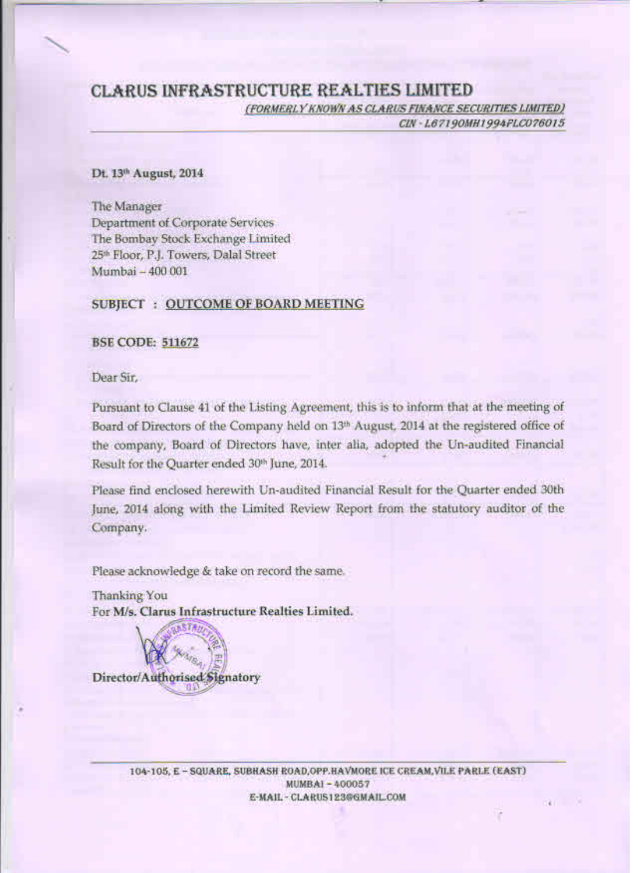# **CLARUS INFRASTRUCTURE REALTIES LIMITED**

(FORMERLY KNOWN AS CLARUS FINANCE SECURITIES LIMITED)

CIN - L67190MH1994FLC076015

Bill in

T

### Dt. 13th August, 2014

The Manager **Department of Corporate Services** The Bombay Stock Exchange Limited 25<sup>th</sup> Floor, P.J. Towers, Dalal Street Mumbai - 400 001

## **SUBJECT : OUTCOME OF BOARD MEETING**

#### **BSE CODE: 511672**

Dear Sir,

Pursuant to Clause 41 of the Listing Agreement, this is to inform that at the meeting of Board of Directors of the Company held on 13th August, 2014 at the registered office of the company, Board of Directors have, inter alia, adopted the Un-audited Financial Result for the Quarter ended 30th June, 2014.

Please find enclosed herewith Un-audited Financial Result for the Quarter ended 30th June, 2014 along with the Limited Review Report from the statutory auditor of the Company.

Please acknowledge & take on record the same.

Thanking You For M/s. Clarus Infrastructure Realties Limited.

Director/Authorised Signatory

104-105, E - SQUARE, SUBHASH ROAD, OPP.HAVMORE ICE CREAM, VILE PARLE (EAST) MUMBAI-400057 E-MAIL - CLARUS123@GMAIL.COM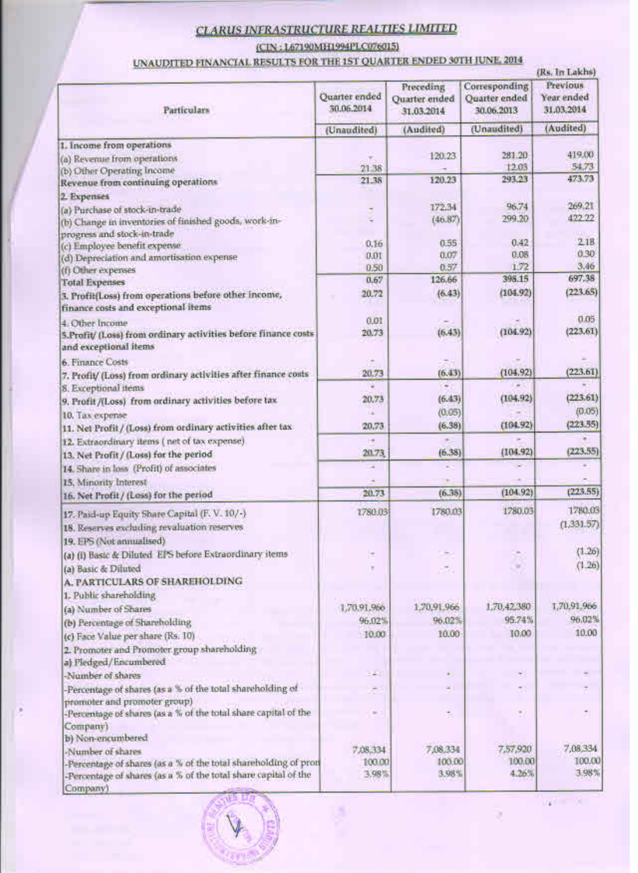# **CLARUS INFRASTRUCTURE REALTIES LIMITED**

(CIN: 1.67190MH1994PLC076015)

# UNAUDITED FINANCIAL RESULTS FOR THE 1ST QUARTER ENDED 30TH JUNE, 2014

| <b>Particulars</b>                                                        | Quarter ended<br>30.06.2014 | Preceding<br>Quarter ended<br>31.03.2014 | Corresponding<br>Quarter ended<br>30.06.2013 | Previous<br>Year ended<br>31.03.2014 |
|---------------------------------------------------------------------------|-----------------------------|------------------------------------------|----------------------------------------------|--------------------------------------|
|                                                                           | (Unaudited)                 | (Audited)                                | (Unaudited)                                  | (Audited)                            |
| 1. Income from operations                                                 |                             |                                          |                                              |                                      |
| (a) Revenue from operations                                               |                             | 120.23                                   | 281.20                                       | 419.00                               |
| (b) Other Operating Income                                                | 21.38                       |                                          | 12.03                                        | 54.73                                |
| Revenue from continuing operations                                        | 21.38                       | 120.23                                   | 293.23                                       | 473.73                               |
| 2. Expenses                                                               |                             |                                          |                                              |                                      |
| (a) Purchase of stock-in-trade.                                           |                             | 172.34                                   | 96.74<br>299.20                              | 269.21<br>422.22                     |
| (b) Change in inventories of finished goods, work-in-                     |                             | (46.87)                                  |                                              |                                      |
| progress and stock-in-trade                                               | 0.16                        | 0.55                                     | 0.42                                         | 2.18                                 |
| (c) Employee benefit expense<br>(d) Depreciation and amortisation expense | 0.01                        | 0.07                                     | 0.08                                         | 0.30                                 |
| (f) Other expenses                                                        | 0.50                        | 0.57                                     | 1.72                                         | 3.46                                 |
| <b>Total Expenses</b>                                                     | 0.67                        | 126.66                                   | 398.15                                       | 697.38                               |
| 3. Profit(Loss) from operations before other income,                      | 20.72                       | (6.43)                                   | (104.92)                                     | (223.65)                             |
| finance costs and exceptional items                                       |                             |                                          |                                              |                                      |
| 4. Other Income                                                           | 0.01                        |                                          |                                              | 0.05                                 |
| 5.Profit/ (Loss) from ordinary activities before finance costs            | 20.73                       | (6.43)                                   | (104.92)                                     | (223.61)                             |
| and exceptional items                                                     |                             |                                          |                                              |                                      |
| 6. Finance Costs                                                          |                             |                                          |                                              |                                      |
| 7. Profit/ (Loss) from ordinary activities after finance costs            | 20.73                       | (6.43)                                   | (104, 92)                                    | (223.61)                             |
| <b>S.</b> Exceptional items                                               | ×                           | ×                                        |                                              |                                      |
| 9. Profit /(Loss) from ordinary activities before tax                     | 20.73                       | (6.43)                                   | (104.92)                                     | (223.61)                             |
| 10. Tax expense                                                           | ÷                           | (0.05)                                   |                                              | (0.05)                               |
| 11. Net Profit / (Loss) from ordinary activities after tax                | 20.73                       | (6.38)                                   | (104.92)                                     | (223.55)                             |
| 12. Extraordinary items (net of tax expense)                              | ÷                           |                                          |                                              |                                      |
| 13. Net Profit / (Loss) for the period                                    | 20.73                       | (6.38)                                   | (104.92)                                     | (223.55)                             |
| 14. Share in loss (Profit) of associates                                  | ٠                           | c                                        |                                              |                                      |
| 15. Minority Interest                                                     |                             |                                          | (104.92)                                     | (223.55)                             |
| 16. Net Profit / (Loss) for the period                                    | 20.73                       | (6.38)                                   |                                              |                                      |
| 17. Paid-up Equity Share Capital (F. V. 10/-)                             | 1780.03                     | 1780.03                                  | 1780.03                                      | 1780.03                              |
| 18. Reserves excluding revaluation reserves.                              |                             |                                          |                                              | (1,331.57)                           |
| 19. EPS (Not annualised)                                                  |                             |                                          |                                              |                                      |
| (a) (i) Basic & Diluted EPS before Extraordinary items                    |                             |                                          |                                              | (1.26)                               |
| (a) Basic & Diluted                                                       |                             | 50                                       |                                              | (1.26)                               |
| A. PARTICULARS OF SHAREHOLDING                                            |                             |                                          |                                              |                                      |
| 1. Public shareholding                                                    |                             |                                          |                                              |                                      |
| (a) Number of Shares                                                      | 1,70.91,966                 | 1,70,91,966                              | 1,70,42,380                                  | 1,70,91,966                          |
| (b) Percentage of Shareholding                                            | 96.02%                      | 96.02%                                   | 95.74%                                       | 96.02%                               |
| (c) Face Value per share (Rs. 10)                                         | 10.00                       | 10.00                                    | 10.00                                        | 10.00                                |
| 2. Promoter and Promoter group shareholding                               |                             |                                          |                                              |                                      |
| a) Pledged/Encumbered                                                     |                             |                                          |                                              |                                      |
| -Number of shares                                                         | 343                         |                                          |                                              |                                      |
| Percentage of shares (as a % of the total shareholding of                 |                             |                                          |                                              |                                      |
| promoter and promoter group)                                              | $\equiv$                    |                                          |                                              |                                      |
| -Percentage of shares (as a % of the total share capital of the           |                             |                                          | 92                                           |                                      |
| Company)<br>b) Non-encumbered                                             |                             |                                          |                                              |                                      |
| Number of shares                                                          | 7,08,334                    | 7,08,334                                 | 7,57,920                                     | 7,08,334                             |
| -Percentage of shares (as a % of the total shareholding of pron           | 100.00                      | 100.00                                   | 100.00                                       | 100.00                               |
| -Percentage of shares (as a % of the total share capital of the           | 3.98%                       | 3.98%                                    | 4.26%                                        | 3.98%                                |
| Company)                                                                  |                             |                                          |                                              |                                      |



VALUE OF

深

cu)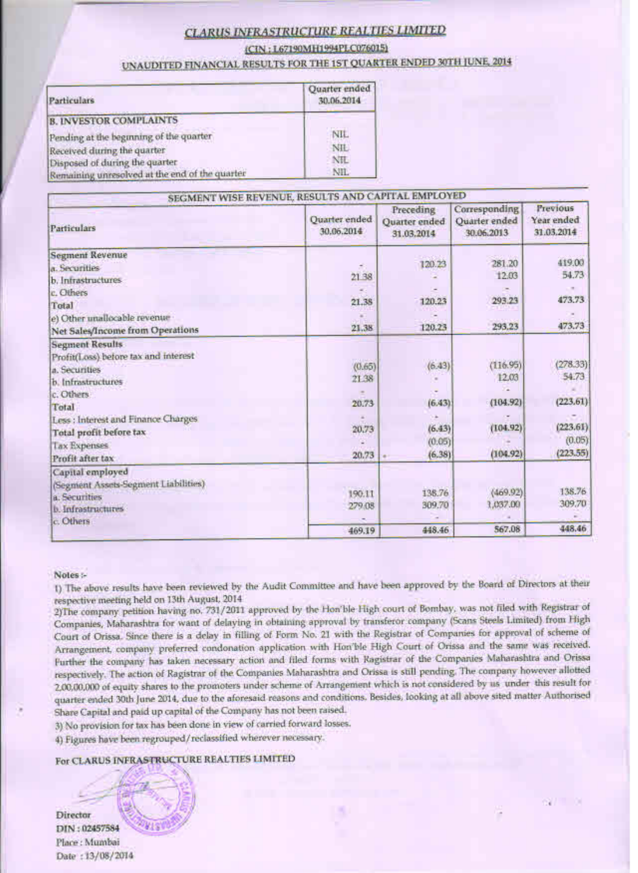### **CLARUS INFRASTRUCTURE REALTIES LIMITED**

(CIN: 167190MH1994PLC076015)

UNAUDITED FINANCIAL RESULTS FOR THE 1ST QUARTER ENDED 30TH JUNE, 2014

| Particulars                                    | Quarter ended<br>30.06.2014 |
|------------------------------------------------|-----------------------------|
| <b>B. INVESTOR COMPLAINTS</b>                  |                             |
| Pending at the beginning of the quarter        | NIL.                        |
| Received during the quarter                    | NIL                         |
| Disposed of during the quarter                 | NIL                         |
| Remaining unresolved at the end of the quarter | NIL                         |

| SEGMENT WISE REVENUE, RESULTS AND CAPITAL EMPLOYED<br>Previous<br>Corresponding |                             |                                          |                             |                          |  |
|---------------------------------------------------------------------------------|-----------------------------|------------------------------------------|-----------------------------|--------------------------|--|
| Particulars                                                                     | Quarter ended<br>30.06.2014 | Preceding<br>Quarter ended<br>31.03.2014 | Quarter ended<br>30.06.2013 | Year ended<br>31.03.2014 |  |
| <b>Segment Revenue</b>                                                          |                             |                                          |                             | 419.00                   |  |
| a. Securities                                                                   |                             | 120.23                                   | 281.20                      |                          |  |
| b. Infrastructures                                                              | 21 38                       |                                          | 12.03                       | 54.73                    |  |
| c. Others                                                                       |                             |                                          |                             |                          |  |
| Total                                                                           | 21.38                       | 120.23                                   | 293.23                      | 473.73                   |  |
| e) Other unallocable revenue                                                    |                             |                                          |                             |                          |  |
| Net Sales/Income from Operations                                                | 21.38                       | 120.23                                   | 293.23                      | 473.73                   |  |
| <b>Segment Results</b>                                                          |                             |                                          |                             |                          |  |
| Profit(Loss) before tax and interest                                            |                             |                                          |                             |                          |  |
| a. Securities                                                                   | (0.65)                      | (6.43)                                   | (116.95)                    | (278.33)                 |  |
| b. Infrastructures                                                              | 21.38                       |                                          | 12.03                       | 54.73                    |  |
| c. Others                                                                       |                             |                                          |                             |                          |  |
| Total                                                                           | 20.73                       | (6.43)                                   | (104.92)                    | (223.61)                 |  |
| Less : Interest and Finance Charges                                             |                             |                                          |                             |                          |  |
| Total profit before tax                                                         | 20,73                       | (6.43)                                   | (104.92)                    | (223.61)                 |  |
| <b>Tax Expenses</b>                                                             |                             | (0.05)                                   |                             | (0.05)                   |  |
| Profit after tax                                                                | 20.73                       | (6.38)                                   | (104.92)                    | (223.55)                 |  |
| Capital employed                                                                |                             |                                          |                             |                          |  |
| (Segment Assets-Segment Liabilities)                                            |                             |                                          |                             |                          |  |
| a. Securities                                                                   | 190.11                      | 138.76                                   | (469.92)                    | 138.76                   |  |
| <b>b</b> Infrastructures                                                        | 279.08                      | 309.70                                   | 1,037.00                    | 309.70                   |  |
| c. Others                                                                       |                             |                                          |                             |                          |  |
|                                                                                 | 469.19                      | 448.46                                   | 567.08                      | 448.46                   |  |

#### Notes:-

1) The above results have been reviewed by the Audit Committee and have been approved by the Board of Directors at their respective meeting held on 13th August, 2014.

2)The company petition having no. 731/2011 approved by the Hon'ble High court of Bombay, was not filed with Registrar of Companies, Maharashtra for want of delaying in obtaining approval by transferor company (Scans Steels Limited) from High Court of Orissa. Since there is a delay in filling of Form No. 21 with the Registrar of Companies for approval of scheme of Arrangement, company preferred condonation application with Hon'ble High Court of Orissa and the same was received. Further the company has taken necessary action and filed forms with Ragistrar of the Companies Maharashtra and Orissa respectively. The action of Ragistrar of the Companies Maharashtra and Orissa is still pending. The company however allotted 2,00,00,000 of equity shares to the promoters under scheme of Arrangement which is not considered by us under this result for quarter ended 30th June 2014, due to the aforesaid reasons and conditions. Besides, looking at all above sited matter Authorised Share Capital and paid up capital of the Company has not been raised.

 $67 - 6$ 

3) No provision for tax has been done in view of carried forward losses.

4) Figures have been regrouped/reclassified wherever necessary.

#### For CLARUS INFRASTRUCTURE REALTIES LIMITED

Director DIN: 02457584 Place: Mumbai Date: 13/08/2014